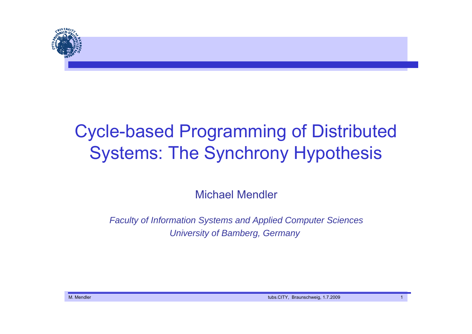

# Cycle-based Programming of Distributed Systems: The Synchrony Hypothesis

Michael Mendler

*Faculty of Information Systems and Applied Computer Sciences University of Bamberg, Germany*

M. Mendler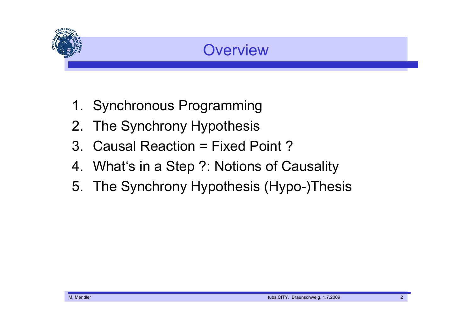

## **Overview**

- 1. Synchronous Programming
- 2. The Synchrony Hypothesis
- 3. Causal Reaction = Fixed Point ?
- 4. What's in a Step ?: Notions of Causality
- 5. The Synchrony Hypothesis (Hypo-)Thesis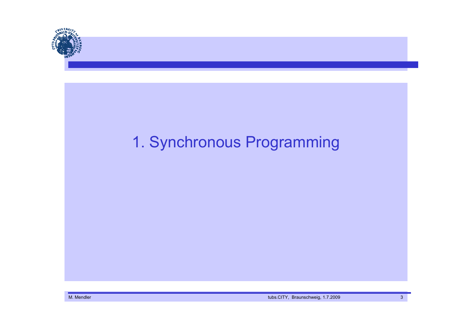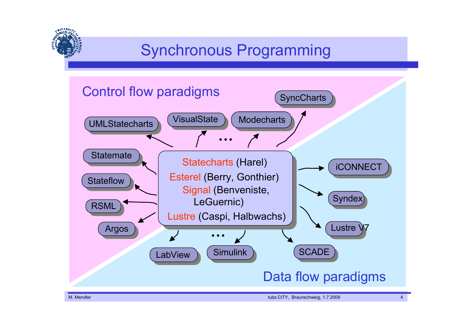# Synchronous Programming

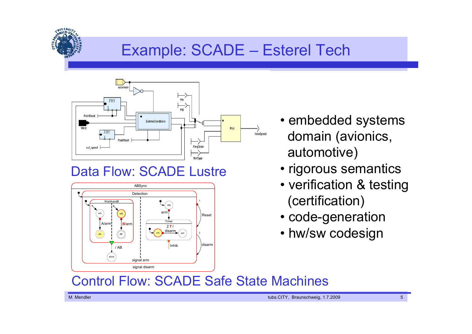## Example: SCADE – Esterel Tech



## Data Flow: SCADE Lustre



- embedded systems domain (avionics, automotive)
- rigorous semantics
- verification & testing (certification)
- code-generation
- hw/sw codesign

### Control Flow: SCADE Safe State Machines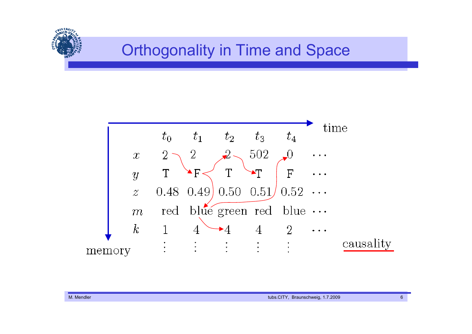## Orthogonality in Time and Space



**AIVERSIS**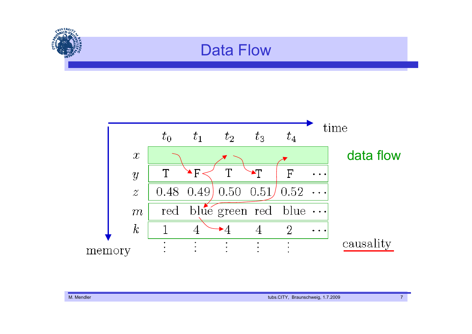

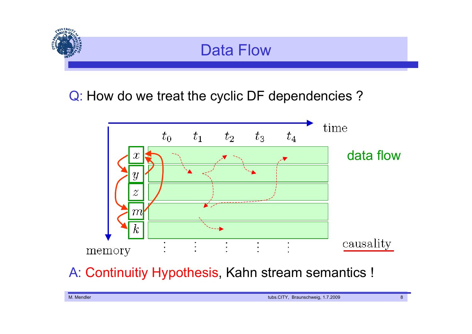

Q: How do we treat the cyclic DF dependencies ?



A: Continuitiy Hypothesis, Kahn stream semantics !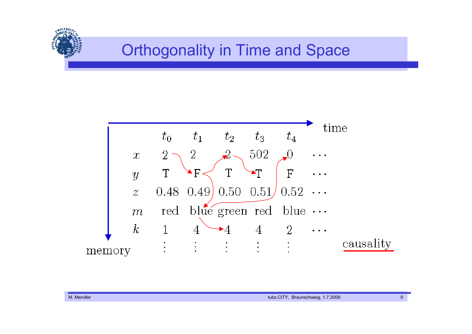## Orthogonality in Time and Space



**AIVERSIS**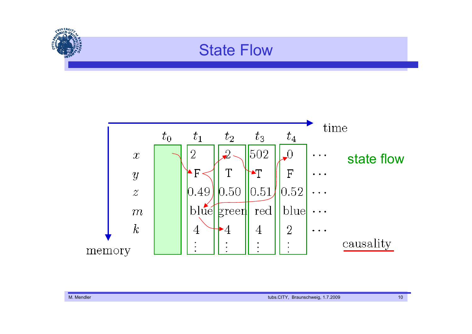# **ANTERSIA** State Flow

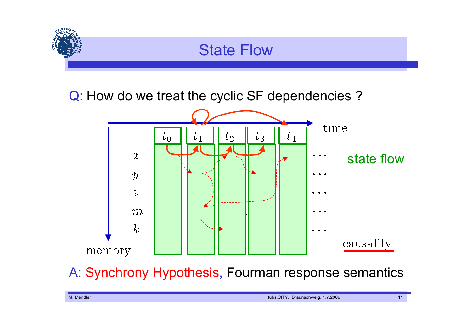

Q: How do we treat the cyclic SF dependencies ?



A: Synchrony Hypothesis, Fourman response semantics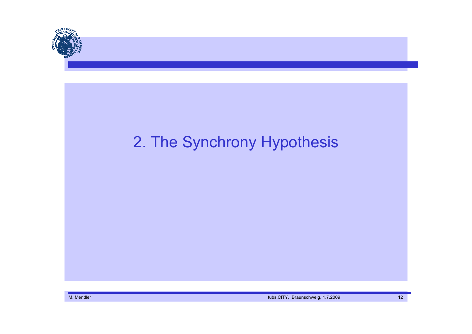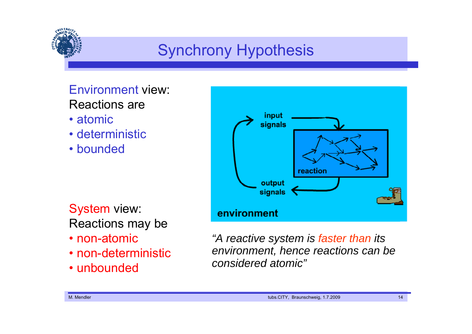

# Synchrony Hypothesis

#### Environment view: Reactions are

- atomic
- deterministic
- bounded

System view: Reactions may be

- non-atomic
- non-deterministic
- unbounded



*"A reactive system is faster than its environment, hence reactions can be considered atomic"*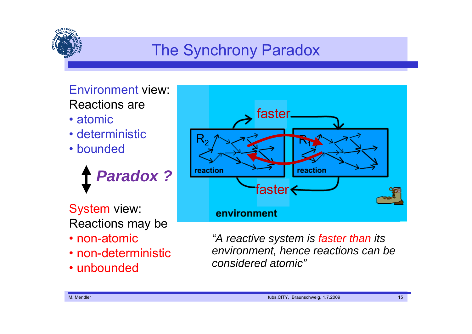

# The Synchrony Paradox

Environment view: Reactions are

- atomic
- deterministic
- bounded

*Paradox ?*

System view: Reactions may be

- non-atomic
- non-deterministic
- unbounded



*"A reactive system is faster than its environment, hence reactions can be considered atomic"*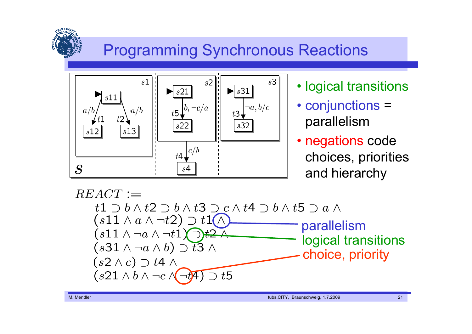# Programming Synchronous Reactions



- logical transitions
- conjunctions <sup>=</sup> parallelism
- negations code choices, priorities and hierarchy

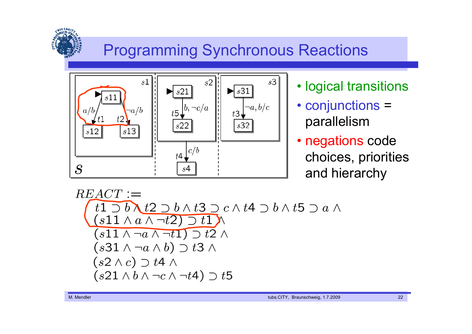# Programming Synchronous Reactions



- logical transitions
- conjunctions <sup>=</sup> parallelism
- negations code choices, priorities and hierarchy

$$
REACT :=
$$
\n
$$
(1) b \lambda t2 \lambda t3 \lambda c \lambda t4 \lambda b \lambda t5 \lambda a \lambda
$$
\n
$$
(s11 \lambda a \lambda \lambda t1) \lambda
$$
\n
$$
(s11 \lambda \lambda t1) \lambda t2 \lambda
$$
\n
$$
(s31 \lambda \lambda t2) \lambda
$$
\n
$$
(s31 \lambda \lambda t1) \lambda t2 \lambda
$$
\n
$$
(s31 \lambda \lambda t2) \lambda
$$
\n
$$
(s2 \lambda c) \lambda t4 \lambda
$$
\n
$$
(s21 \lambda b \lambda \lambda c \lambda t4) \lambda t5
$$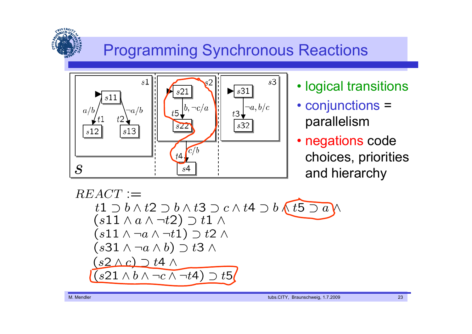# Programming Synchronous Reactions



- logical transitions
- conjunctions <sup>=</sup> parallelism
- negations code choices, priorities and hierarchy

$$
REACT :=\nt1 D b \land t2 D b \land t3 D c \land t4 D b \quad t5 D a \land\n(s11 \land a \land \neg t2) D t1 \land\n(s11 \land \neg a \land \neg t1) D t2 \land\n(s31 \land \neg a \land b) D t3 \land\n(s2 \land c) D t4 \land\n(s21 \land b \land \neg c \land \neg t4) D t5
$$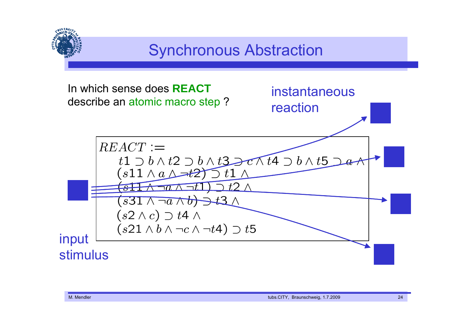## Synchronous Abstraction In which sense does **REACT**instantaneousdescribe an atomic macro step ? reaction $REACT :=$  $t1 \supset b \wedge t2 \supset b \wedge t3 \supset c \wedge t4 \supset b \wedge t5$  $(s11 \wedge a \wedge \rightarrow t2)$  1 \  $\left(\overline{s11} \wedge \neg a \wedge \neg t1 \right) \supset t2 \wedge$  $(s31 \wedge \neg a \wedge b) \rightarrow t3 \wedge$  $(s2 \wedge c) \supset t4 \wedge$  $(s21 \wedge b \wedge \neg c \wedge \neg t4) \supset t5$ input stimulus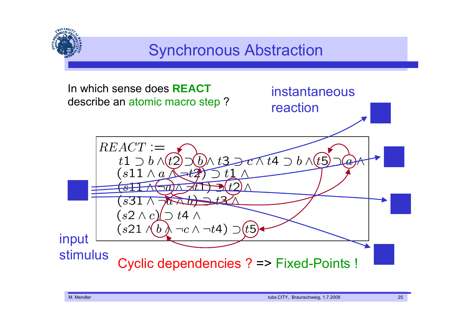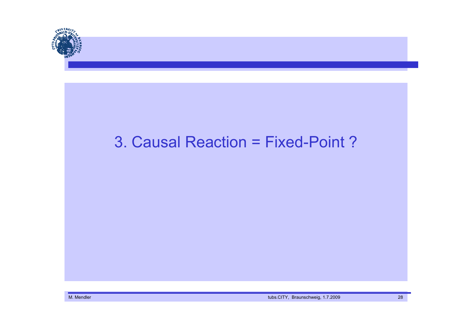

M. Mendler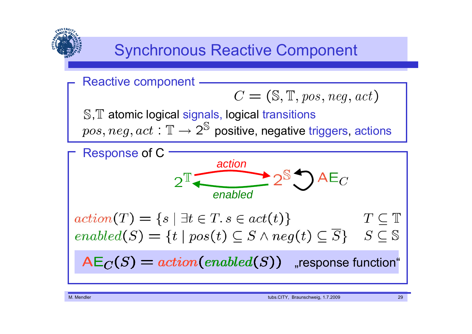

## Synchronous Reactive Component

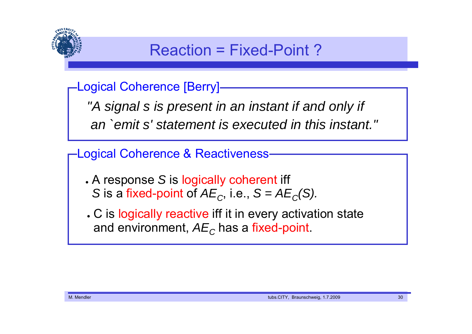

## Reaction = Fixed-Point ?

Logical Coherence [Berry]

*"A signal s is present in an instant if and only if an `emit s' statement is executed in this instant."*

Logical Coherence & Reactiveness

- A response *S* is logically coherent iff *S* is a fixed-point of  $AE_C$ , i.e.,  $S = AE_C(S)$ .
- . C is logically reactive iff it in every activation state and environment,  $A\mathit{E}_{\mathit{C}}$  has a fixed-point.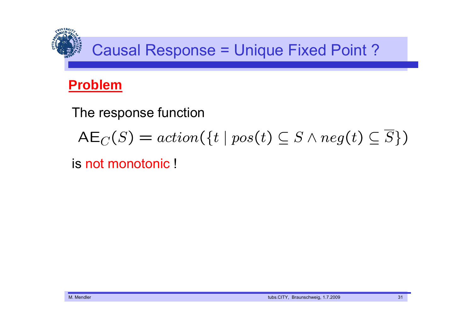

## **Problem**

The response function

$$
AE_C(S) = action(\{t \mid pos(t) \subseteq S \land neg(t) \subseteq \overline{S}\})
$$

is not monotonic !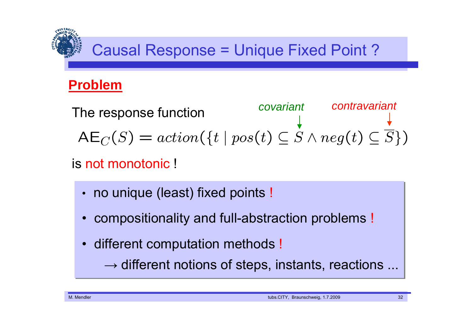# Causal Response = Unique Fixed Point ?

## **Problem**

*covariant contravariant* The response function  $\mathsf{AE}_{C}(S) = action(\{t \mid pos(t) \subseteq S \land neg(t) \subseteq \overline{S}\})$ 

## is not monotonic !

- •• no unique (least) fixed points !
- •compositionality and full-abstraction problems !
- •different computation methods !

 $\rightarrow$  different notions of steps, instants, reactions ...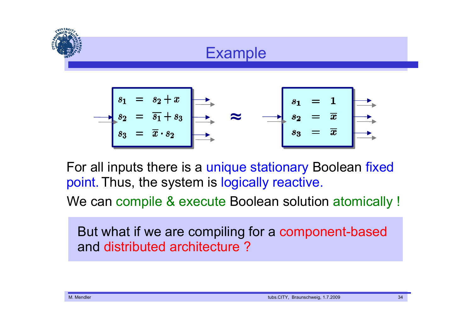



For all inputs there is a unique stationary Boolean fixed point. Thus, the system is logically reactive.

We can compile & execute Boolean solution atomically !

But what if we are compiling for a component-based and distributed architecture ?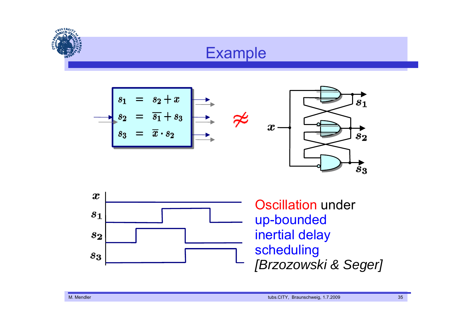



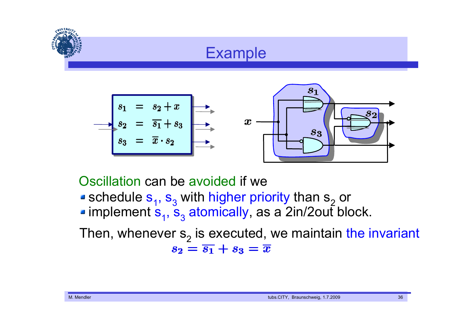



schedule  $\mathbf{s}_{_{1}},$   $\mathbf{s}_{_{3}}$  with higher priority than  $\mathbf{s}_{_{2}}$  or implement  $\mathbf{s}_{_{1}},$   $\mathbf{s}_{_{3}}$  atomically, as a 2in/2out block. Oscillation can be avoided if we

Then, whenever s<sub>2</sub> is executed, we maintain the invariant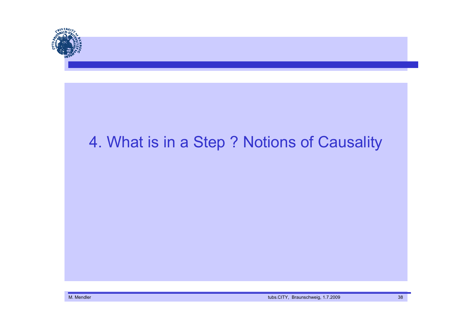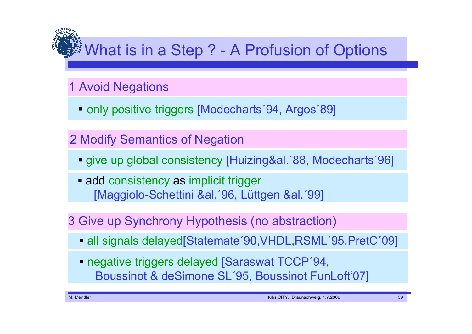# **/ What is in a Step ? - A Profusion of Options**

## 1 Avoid Negations

■ only positive triggers [Modecharts 94, Argos 89]

## 2 Modify Semantics of Negation

- give up global consistency [Huizing&al.´88, Modecharts´96]
- **Eadd consistency as implicit trigger** [Maggiolo-Schettini &al.´96, Lüttgen &al.´99]

## 3 Give up Synchrony Hypothesis (no abstraction)

- all signals delayed[Statemate´90,VHDL,RSML´95,PretC´09]
- **negative triggers delayed [Saraswat TCCP'94,** Boussinot & deSimone SL´95, Boussinot FunLoft'07]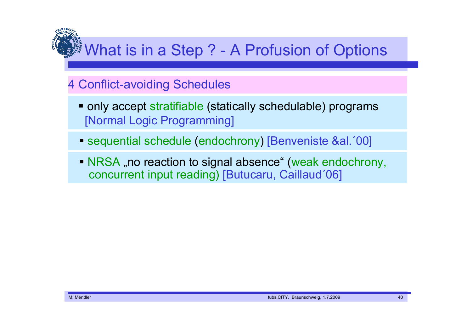# *What is in a Step ? - A Profusion of Options*

### 4 Conflict-avoiding Schedules

- **only accept stratifiable (statically schedulable) programs** [Normal Logic Programming]
- sequential schedule (endochrony) [Benveniste &al.´00]
- NRSA "no reaction to signal absence" (weak endochrony, concurrent input reading) [Butucaru, Caillaud´06]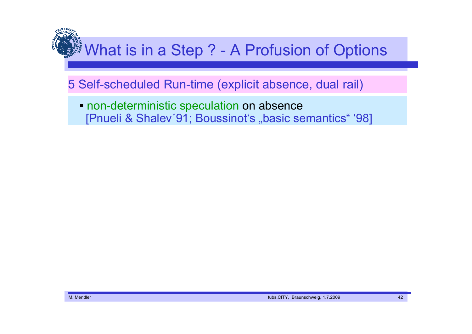# **※ What is in a Step ? - A Profusion of Options**

#### 5 Self-scheduled Run-time (explicit absence, dual rail)

**• non-deterministic speculation on absence** [Pnueli & Shalev'91; Boussinot's "basic semantics" '98]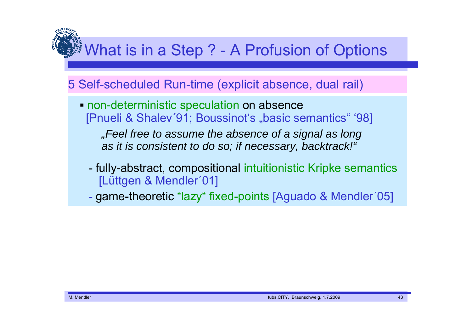## **※ What is in a Step ? - A Profusion of Options**

#### 5 Self-scheduled Run-time (explicit absence, dual rail)

 non-deterministic speculation on absence [Pnueli & Shalev'91; Boussinot's "basic semantics" '98]

*"Feel free to assume the absence of a signal as long as it is consistent to do so; if necessary, backtrack!"*

 fully-abstract, compositional intuitionistic Kripke semantics [Lüttgen & Mendler´01]

game-theoretic "lazy" fixed-points [Aguado & Mendler´05]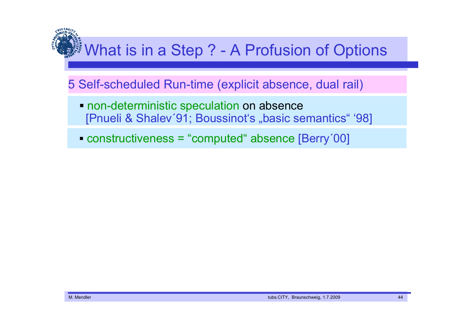# **※What is in a Step ? - A Profusion of Options**

#### 5 Self-scheduled Run-time (explicit absence, dual rail)

- **non-deterministic speculation on absence** [Pnueli & Shalev'91; Boussinot's "basic semantics" '98]
- constructiveness <sup>=</sup>"computed" absence [Berry´00]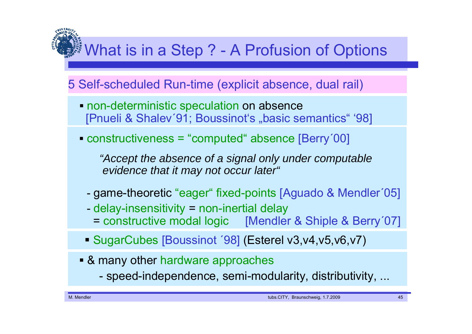# **What is in a Step ? - A Profusion of Options**

## 5 Self-scheduled Run-time (explicit absence, dual rail)

- **non-deterministic speculation on absence** [Pnueli & Shalev'91; Boussinot's "basic semantics" '98]
- constructiveness <sup>=</sup> "computed" absence [Berry´00]

*"Accept the absence of a signal only under computable evidence that it may not occur later"*

- game-theoretic "eager" fixed-points [Aguado & Mendler´05]
- delay-insensitivity <sup>=</sup> non-inertial delay
- = constructive modal logic [Mendler & Shiple & Berry´07]
- SugarCubes [Boussinot ´98] (Esterel v3,v4,v5,v6,v7)
- & many other hardware approaches
	- speed-independence, semi-modularity, distributivity, ...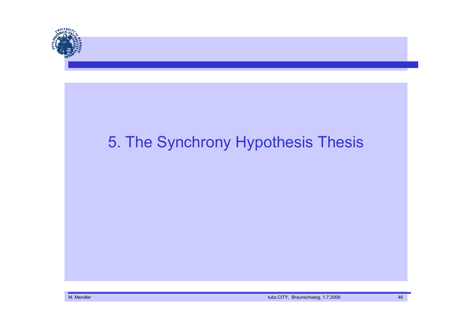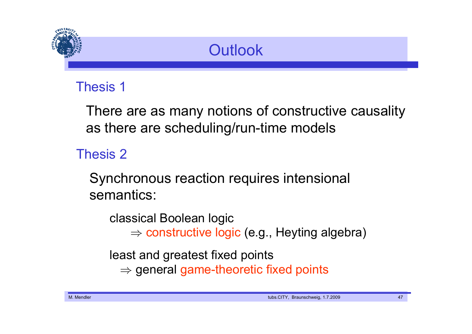

## **Outlook**

## Thesis 1

There are as many notions of constructive causality as there are scheduling/run-time models

## Thesis 2

Synchronous reaction requires intensional semantics:

classical Boolean logic  $\Rightarrow$  constructive logic (e.g., Heyting algebra)

least and greatest fixed points

 $\Rightarrow$  general game-theoretic fixed points